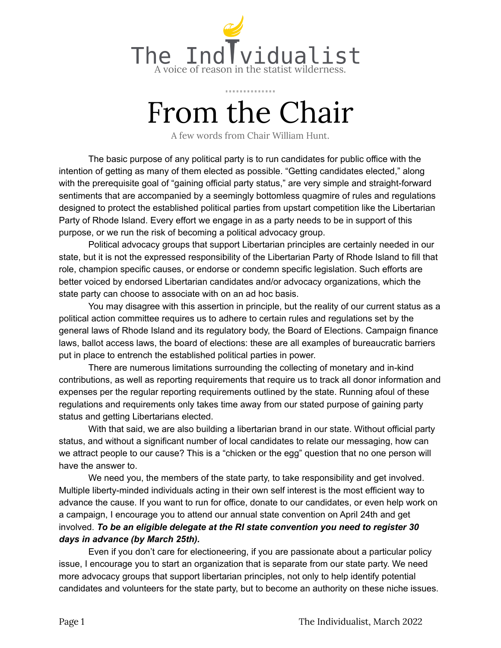

# From the Chair

A few words from Chair William Hunt.

The basic purpose of any political party is to run candidates for public office with the intention of getting as many of them elected as possible. "Getting candidates elected," along with the prerequisite goal of "gaining official party status," are very simple and straight-forward sentiments that are accompanied by a seemingly bottomless quagmire of rules and regulations designed to protect the established political parties from upstart competition like the Libertarian Party of Rhode Island. Every effort we engage in as a party needs to be in support of this purpose, or we run the risk of becoming a political advocacy group.

Political advocacy groups that support Libertarian principles are certainly needed in our state, but it is not the expressed responsibility of the Libertarian Party of Rhode Island to fill that role, champion specific causes, or endorse or condemn specific legislation. Such efforts are better voiced by endorsed Libertarian candidates and/or advocacy organizations, which the state party can choose to associate with on an ad hoc basis.

You may disagree with this assertion in principle, but the reality of our current status as a political action committee requires us to adhere to certain rules and regulations set by the general laws of Rhode Island and its regulatory body, the Board of Elections. Campaign finance laws, ballot access laws, the board of elections: these are all examples of bureaucratic barriers put in place to entrench the established political parties in power.

There are numerous limitations surrounding the collecting of monetary and in-kind contributions, as well as reporting requirements that require us to track all donor information and expenses per the regular reporting requirements outlined by the state. Running afoul of these regulations and requirements only takes time away from our stated purpose of gaining party status and getting Libertarians elected.

With that said, we are also building a libertarian brand in our state. Without official party status, and without a significant number of local candidates to relate our messaging, how can we attract people to our cause? This is a "chicken or the egg" question that no one person will have the answer to.

We need you, the members of the state party, to take responsibility and get involved. Multiple liberty-minded individuals acting in their own self interest is the most efficient way to advance the cause. If you want to run for office, donate to our candidates, or even help work on a campaign, I encourage you to attend our annual state convention on April 24th and get involved. *To be an eligible delegate at the RI state convention you need to register 30 days in advance (by March 25th).*

Even if you don't care for electioneering, if you are passionate about a particular policy issue, I encourage you to start an organization that is separate from our state party. We need more advocacy groups that support libertarian principles, not only to help identify potential candidates and volunteers for the state party, but to become an authority on these niche issues.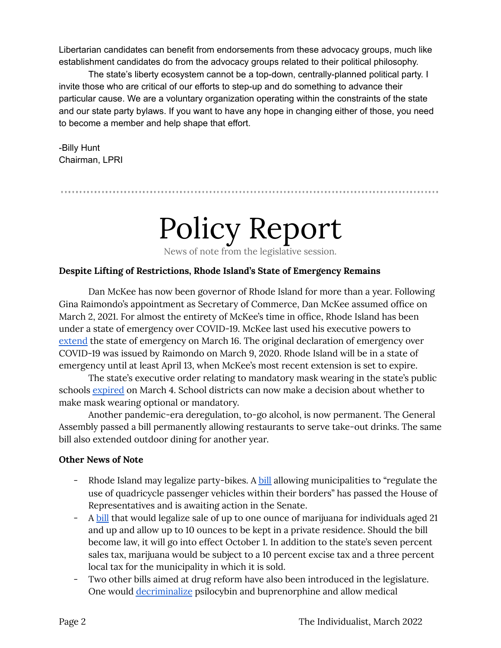Libertarian candidates can benefit from endorsements from these advocacy groups, much like establishment candidates do from the advocacy groups related to their political philosophy.

The state's liberty ecosystem cannot be a top-down, centrally-planned political party. I invite those who are critical of our efforts to step-up and do something to advance their particular cause. We are a voluntary organization operating within the constraints of the state and our state party bylaws. If you want to have any hope in changing either of those, you need to become a member and help shape that effort.

-Billy Hunt Chairman, LPRI

# Policy Report

News of note from the legislative session.

### **Despite Lifting of Restrictions, Rhode Island's State of Emergency Remains**

Dan McKee has now been governor of Rhode Island for more than a year. Following Gina Raimondo's appointment as Secretary of Commerce, Dan McKee assumed office on March 2, 2021. For almost the entirety of McKee's time in office, Rhode Island has been under a state of emergency over COVID-19. McKee last used his executive powers to [extend](https://governor.ri.gov/executive-orders/executive-order-22-23) the state of emergency on March 16. The original declaration of emergency over COVID-19 was issued by Raimondo on March 9, 2020. Rhode Island will be in a state of emergency until at least April 13, when McKee's most recent extension is set to expire.

The state's executive order relating to mandatory mask wearing in the state's public schools [expired](https://turnto10.com/news/local/no-mask-mandate-in-rhode-island) on March 4. School districts can now make a decision about whether to make mask wearing optional or mandatory.

Another pandemic-era deregulation, to-go alcohol, is now permanent. The General Assembly passed a bill permanently allowing restaurants to serve take-out drinks. The same bill also extended outdoor dining for another year.

## **Other News of Note**

- Rhode Island may legalize party-bikes. A [bill](https://status.rilegislature.gov/) allowing municipalities to "regulate the use of quadricycle passenger vehicles within their borders" has passed the House of Representatives and is awaiting action in the Senate.
- A [bill](https://www.rilegislature.gov/pressrelease/_layouts/RIL.PressRelease.ListStructure/Forms/DisplayForm.aspx?List=c8baae31%2D3c10%2D431c%2D8dcd%2D9dbbe21ce3e9&ID=372379&Web=2bab1515%2D0dcc%2D4176%2Da2f8%2D8d4beebdf488) that would legalize sale of up to one ounce of marijuana for individuals aged 21 and up and allow up to 10 ounces to be kept in a private residence. Should the bill become law, it will go into effect October 1. In addition to the state's seven percent sales tax, marijuana would be subject to a 10 percent excise tax and a three percent local tax for the municipality in which it is sold.
- Two other bills aimed at drug reform have also been introduced in the legislature. One would [decriminalize](http://webserver.rilin.state.ri.us/BillText/BillText22/HouseText22/H7715.pdf) psilocybin and buprenorphine and allow medical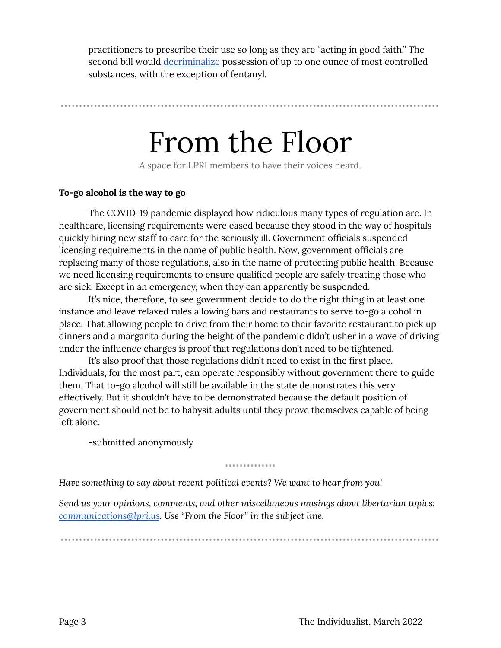practitioners to prescribe their use so long as they are "acting in good faith." The second bill would [decriminalize](https://webserver.rilegislature.gov/BillText22/HouseText22/H7896.pdf) possession of up to one ounce of most controlled substances, with the exception of fentanyl.

## From the Floor

A space for LPRI members to have their voices heard.

#### **To-go alcohol is the way to go**

The COVID-19 pandemic displayed how ridiculous many types of regulation are. In healthcare, licensing requirements were eased because they stood in the way of hospitals quickly hiring new staff to care for the seriously ill. Government officials suspended licensing requirements in the name of public health. Now, government officials are replacing many of those regulations, also in the name of protecting public health. Because we need licensing requirements to ensure qualified people are safely treating those who are sick. Except in an emergency, when they can apparently be suspended.

It's nice, therefore, to see government decide to do the right thing in at least one instance and leave relaxed rules allowing bars and restaurants to serve to-go alcohol in place. That allowing people to drive from their home to their favorite restaurant to pick up dinners and a margarita during the height of the pandemic didn't usher in a wave of driving under the influence charges is proof that regulations don't need to be tightened.

It's also proof that those regulations didn't need to exist in the first place. Individuals, for the most part, can operate responsibly without government there to guide them. That to-go alcohol will still be available in the state demonstrates this very effectively. But it shouldn't have to be demonstrated because the default position of government should not be to babysit adults until they prove themselves capable of being left alone.

-submitted anonymously

.............

*Have something to say about recent political events? We want to hear from you!*

*Send us your opinions, comments, and other miscellaneous musings about libertarian topics: [communications@lpri.us](mailto:communications@lpri.us). Use "From the Floor" in the subject line.*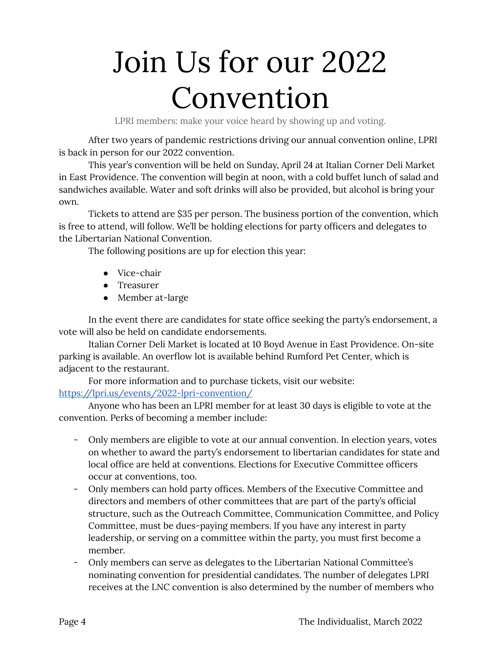# Join Us for our 2022 Convention

LPRI members: make your voice heard by showing up and voting.

After two years of pandemic restrictions driving our annual convention online, LPRI is back in person for our 2022 convention.

This year's convention will be held on Sunday, April 24 at Italian Corner Deli Market in East Providence. The convention will begin at noon, with a cold buffet lunch of salad and sandwiches available. Water and soft drinks will also be provided, but alcohol is bring your own.

Tickets to attend are \$35 per person. The business portion of the convention, which is free to attend, will follow. We'll be holding elections for party officers and delegates to the Libertarian National Convention.

The following positions are up for election this year:

- Vice-chair
- Treasurer
- Member at-large

In the event there are candidates for state office seeking the party's endorsement, a vote will also be held on candidate endorsements.

Italian Corner Deli Market is located at 10 Boyd Avenue in East Providence. On-site parking is available. An overflow lot is available behind Rumford Pet Center, which is adjacent to the restaurant.

For more information and to purchase tickets, visit our website: <https://lpri.us/events/2022-lpri-convention/>

Anyone who has been an LPRI member for at least 30 days is eligible to vote at the convention. Perks of becoming a member include:

- Only members are eligible to vote at our annual convention. In election years, votes on whether to award the party's endorsement to libertarian candidates for state and local office are held at conventions. Elections for Executive Committee officers occur at conventions, too.
- Only members can hold party offices. Members of the Executive Committee and directors and members of other committees that are part of the party's official structure, such as the Outreach Committee, Communication Committee, and Policy Committee, must be dues-paying members. If you have any interest in party leadership, or serving on a committee within the party, you must first become a member.
- Only members can serve as delegates to the Libertarian National Committee's nominating convention for presidential candidates. The number of delegates LPRI receives at the LNC convention is also determined by the number of members who